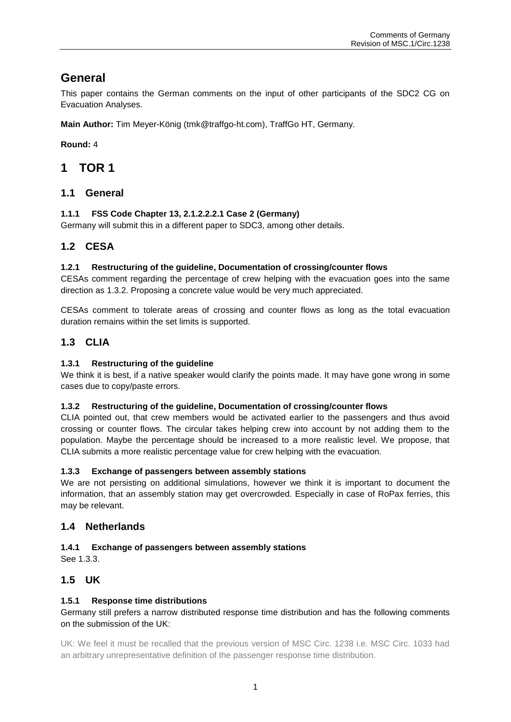## **General**

This paper contains the German comments on the input of other participants of the SDC2 CG on Evacuation Analyses.

**Main Author:** Tim Meyer-König (tmk@traffgo-ht.com), TraffGo HT, Germany.

**Round:** 4

## **1 TOR 1**

## **1.1 General**

### **1.1.1 FSS Code Chapter 13, 2.1.2.2.2.1 Case 2 (Germany)**

Germany will submit this in a different paper to SDC3, among other details.

## **1.2 CESA**

#### **1.2.1 Restructuring of the guideline, Documentation of crossing/counter flows**

CESAs comment regarding the percentage of crew helping with the evacuation goes into the same direction as [1.3.2.](#page-0-0) Proposing a concrete value would be very much appreciated.

CESAs comment to tolerate areas of crossing and counter flows as long as the total evacuation duration remains within the set limits is supported.

## **1.3 CLIA**

#### **1.3.1 Restructuring of the guideline**

We think it is best, if a native speaker would clarify the points made. It may have gone wrong in some cases due to copy/paste errors.

#### <span id="page-0-0"></span>**1.3.2 Restructuring of the guideline, Documentation of crossing/counter flows**

CLIA pointed out, that crew members would be activated earlier to the passengers and thus avoid crossing or counter flows. The circular takes helping crew into account by not adding them to the population. Maybe the percentage should be increased to a more realistic level. We propose, that CLIA submits a more realistic percentage value for crew helping with the evacuation.

#### <span id="page-0-1"></span>**1.3.3 Exchange of passengers between assembly stations**

We are not persisting on additional simulations, however we think it is important to document the information, that an assembly station may get overcrowded. Especially in case of RoPax ferries, this may be relevant.

### **1.4 Netherlands**

#### **1.4.1 Exchange of passengers between assembly stations**

See [1.3.3.](#page-0-1)

## **1.5 UK**

#### **1.5.1 Response time distributions**

#### Germany still prefers a narrow distributed response time distribution and has the following comments on the submission of the UK:

UK: We feel it must be recalled that the previous version of MSC Circ. 1238 i.e. MSC Circ. 1033 had an arbitrary unrepresentative definition of the passenger response time distribution.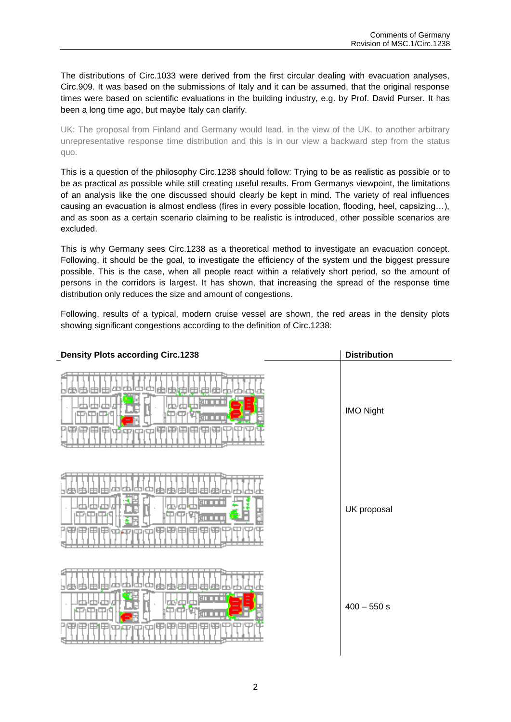The distributions of Circ.1033 were derived from the first circular dealing with evacuation analyses, Circ.909. It was based on the submissions of Italy and it can be assumed, that the original response times were based on scientific evaluations in the building industry, e.g. by Prof. David Purser. It has been a long time ago, but maybe Italy can clarify.

UK: The proposal from Finland and Germany would lead, in the view of the UK, to another arbitrary unrepresentative response time distribution and this is in our view a backward step from the status quo.

This is a question of the philosophy Circ.1238 should follow: Trying to be as realistic as possible or to be as practical as possible while still creating useful results. From Germanys viewpoint, the limitations of an analysis like the one discussed should clearly be kept in mind. The variety of real influences causing an evacuation is almost endless (fires in every possible location, flooding, heel, capsizing…), and as soon as a certain scenario claiming to be realistic is introduced, other possible scenarios are excluded.

This is why Germany sees Circ.1238 as a theoretical method to investigate an evacuation concept. Following, it should be the goal, to investigate the efficiency of the system und the biggest pressure possible. This is the case, when all people react within a relatively short period, so the amount of persons in the corridors is largest. It has shown, that increasing the spread of the response time distribution only reduces the size and amount of congestions.

Following, results of a typical, modern cruise vessel are shown, the red areas in the density plots showing significant congestions according to the definition of Circ.1238:

| <b>Density Plots according Circ.1238</b> | <b>Distribution</b> |
|------------------------------------------|---------------------|
|                                          | <b>IMO Night</b>    |
| 中国甲                                      | UK proposal         |
| ŒΘ<br>ᠳ                                  | $400 - 550 s$       |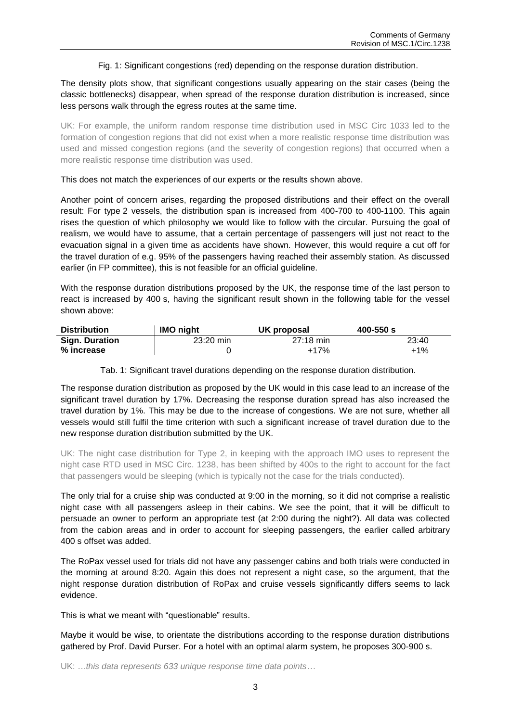Fig. 1: Significant congestions (red) depending on the response duration distribution.

<span id="page-2-0"></span>The density plots show, that significant congestions usually appearing on the stair cases (being the classic bottlenecks) disappear, when spread of the response duration distribution is increased, since less persons walk through the egress routes at the same time.

UK: For example, the uniform random response time distribution used in MSC Circ 1033 led to the formation of congestion regions that did not exist when a more realistic response time distribution was used and missed congestion regions (and the severity of congestion regions) that occurred when a more realistic response time distribution was used.

This does not match the experiences of our experts or the results shown above.

Another point of concern arises, regarding the proposed distributions and their effect on the overall result: For type 2 vessels, the distribution span is increased from 400-700 to 400-1100. This again rises the question of which philosophy we would like to follow with the circular. Pursuing the goal of realism, we would have to assume, that a certain percentage of passengers will just not react to the evacuation signal in a given time as accidents have shown. However, this would require a cut off for the travel duration of e.g. 95% of the passengers having reached their assembly station. As discussed earlier (in FP committee), this is not feasible for an official guideline.

With the response duration distributions proposed by the UK, the response time of the last person to react is increased by 400 s, having the significant result shown in the following table for the vessel shown above:

| <b>Distribution</b>   | <b>IMO night</b>    | UK proposal         | $400 - 550 s$ |
|-----------------------|---------------------|---------------------|---------------|
| <b>Sign. Duration</b> | $23:20 \text{ min}$ | $27:18 \text{ min}$ | 23:40         |
| % increase            |                     | $+17%$              | $+1\%$        |

Tab. 1: Significant travel durations depending on the response duration distribution.

The response duration distribution as proposed by the UK would in this case lead to an increase of the significant travel duration by 17%. Decreasing the response duration spread has also increased the travel duration by 1%. This may be due to the increase of congestions. We are not sure, whether all vessels would still fulfil the time criterion with such a significant increase of travel duration due to the new response duration distribution submitted by the UK.

UK: The night case distribution for Type 2, in keeping with the approach IMO uses to represent the night case RTD used in MSC Circ. 1238, has been shifted by 400s to the right to account for the fact that passengers would be sleeping (which is typically not the case for the trials conducted).

The only trial for a cruise ship was conducted at 9:00 in the morning, so it did not comprise a realistic night case with all passengers asleep in their cabins. We see the point, that it will be difficult to persuade an owner to perform an appropriate test (at 2:00 during the night?). All data was collected from the cabion areas and in order to account for sleeping passengers, the earlier called arbitrary 400 s offset was added.

The RoPax vessel used for trials did not have any passenger cabins and both trials were conducted in the morning at around 8:20. Again this does not represent a night case, so the argument, that the night response duration distribution of RoPax and cruise vessels significantly differs seems to lack evidence.

This is what we meant with "questionable" results.

Maybe it would be wise, to orientate the distributions according to the response duration distributions gathered by Prof. David Purser. For a hotel with an optimal alarm system, he proposes 300-900 s.

UK: *…this data represents 633 unique response time data points…*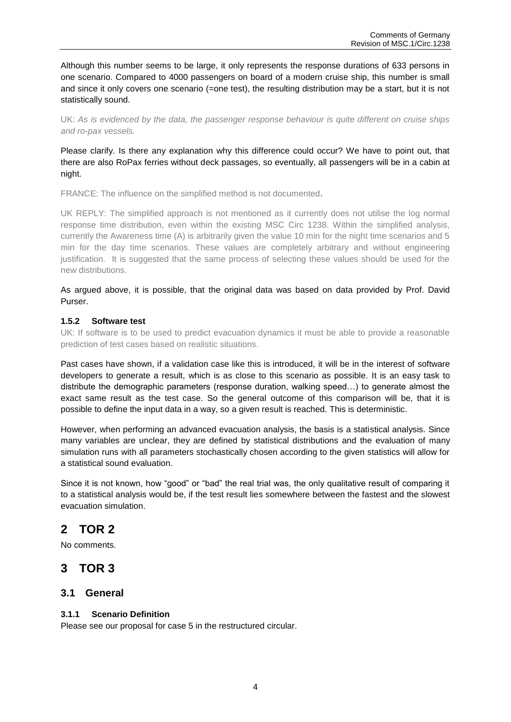Although this number seems to be large, it only represents the response durations of 633 persons in one scenario. Compared to 4000 passengers on board of a modern cruise ship, this number is small and since it only covers one scenario (=one test), the resulting distribution may be a start, but it is not statistically sound.

UK: *As is evidenced by the data, the passenger response behaviour is quite different on cruise ships and ro-pax vessels.*

Please clarify. Is there any explanation why this difference could occur? We have to point out, that there are also RoPax ferries without deck passages, so eventually, all passengers will be in a cabin at night.

FRANCE: The influence on the simplified method is not documented**.**

UK REPLY: The simplified approach is not mentioned as it currently does not utilise the log normal response time distribution, even within the existing MSC Circ 1238. Within the simplified analysis, currently the Awareness time (A) is arbitrarily given the value 10 min for the night time scenarios and 5 min for the day time scenarios. These values are completely arbitrary and without engineering justification. It is suggested that the same process of selecting these values should be used for the new distributions.

As argued above, it is possible, that the original data was based on data provided by Prof. David Purser.

#### **1.5.2 Software test**

UK: If software is to be used to predict evacuation dynamics it must be able to provide a reasonable prediction of test cases based on realistic situations.

Past cases have shown, if a validation case like this is introduced, it will be in the interest of software developers to generate a result, which is as close to this scenario as possible. It is an easy task to distribute the demographic parameters (response duration, walking speed…) to generate almost the exact same result as the test case. So the general outcome of this comparison will be, that it is possible to define the input data in a way, so a given result is reached. This is deterministic.

However, when performing an advanced evacuation analysis, the basis is a statistical analysis. Since many variables are unclear, they are defined by statistical distributions and the evaluation of many simulation runs with all parameters stochastically chosen according to the given statistics will allow for a statistical sound evaluation.

Since it is not known, how "good" or "bad" the real trial was, the only qualitative result of comparing it to a statistical analysis would be, if the test result lies somewhere between the fastest and the slowest evacuation simulation.

## **2 TOR 2**

No comments.

## **3 TOR 3**

### **3.1 General**

#### **3.1.1 Scenario Definition**

Please see our proposal for case 5 in the restructured circular.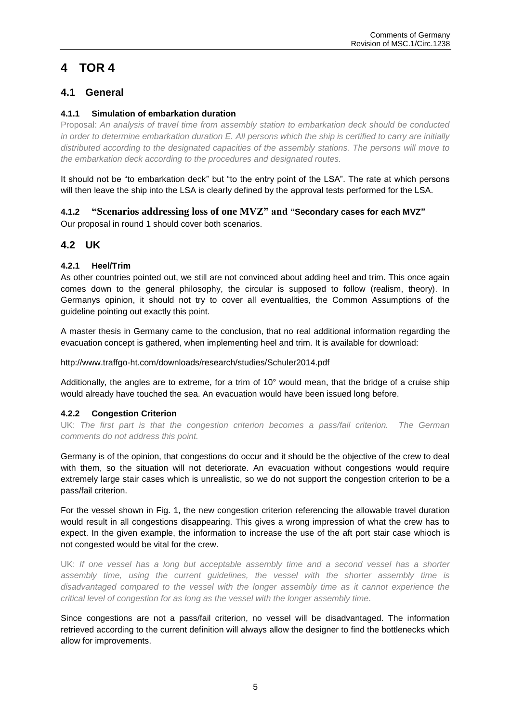# **4 TOR 4**

## **4.1 General**

#### **4.1.1 Simulation of embarkation duration**

Proposal: *An analysis of travel time from assembly station to embarkation deck should be conducted in order to determine embarkation duration E. All persons which the ship is certified to carry are initially distributed according to the designated capacities of the assembly stations. The persons will move to the embarkation deck according to the procedures and designated routes.*

It should not be "to embarkation deck" but "to the entry point of the LSA". The rate at which persons will then leave the ship into the LSA is clearly defined by the approval tests performed for the LSA.

## **4.1.2 "Scenarios addressing loss of one MVZ" and "Secondary cases for each MVZ"**

Our proposal in round 1 should cover both scenarios.

## **4.2 UK**

#### **4.2.1 Heel/Trim**

As other countries pointed out, we still are not convinced about adding heel and trim. This once again comes down to the general philosophy, the circular is supposed to follow (realism, theory). In Germanys opinion, it should not try to cover all eventualities, the Common Assumptions of the guideline pointing out exactly this point.

A master thesis in Germany came to the conclusion, that no real additional information regarding the evacuation concept is gathered, when implementing heel and trim. It is available for download:

http://www.traffgo-ht.com/downloads/research/studies/Schuler2014.pdf

Additionally, the angles are to extreme, for a trim of 10° would mean, that the bridge of a cruise ship would already have touched the sea. An evacuation would have been issued long before.

#### **4.2.2 Congestion Criterion**

UK: The first part is that the congestion criterion becomes a pass/fail criterion. The German *comments do not address this point.*

Germany is of the opinion, that congestions do occur and it should be the objective of the crew to deal with them, so the situation will not deteriorate. An evacuation without congestions would require extremely large stair cases which is unrealistic, so we do not support the congestion criterion to be a pass/fail criterion.

For the vessel shown in [Fig. 1,](#page-2-0) the new congestion criterion referencing the allowable travel duration would result in all congestions disappearing. This gives a wrong impression of what the crew has to expect. In the given example, the information to increase the use of the aft port stair case whioch is not congested would be vital for the crew.

UK: If one vessel has a long but acceptable assembly time and a second vessel has a shorter *assembly time, using the current guidelines, the vessel with the shorter assembly time is disadvantaged compared to the vessel with the longer assembly time as it cannot experience the critical level of congestion for as long as the vessel with the longer assembly time.*

Since congestions are not a pass/fail criterion, no vessel will be disadvantaged. The information retrieved according to the current definition will always allow the designer to find the bottlenecks which allow for improvements.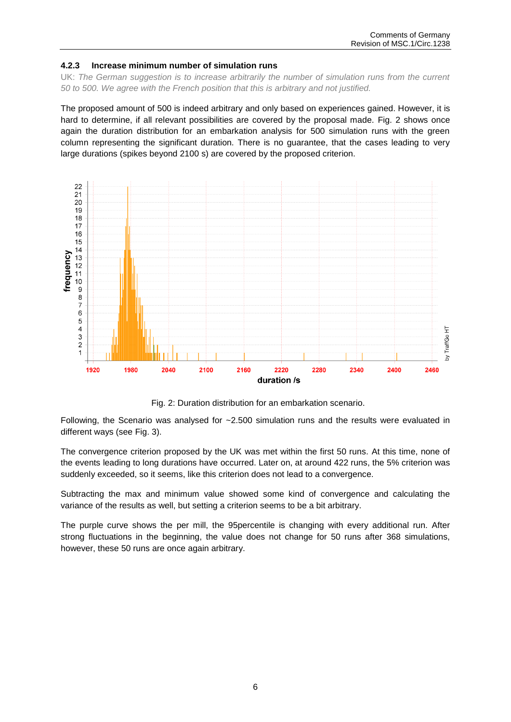#### **4.2.3 Increase minimum number of simulation runs**

UK: The German suggestion is to increase arbitrarily the number of simulation runs from the current *50 to 500. We agree with the French position that this is arbitrary and not justified.*

The proposed amount of 500 is indeed arbitrary and only based on experiences gained. However, it is hard to determine, if all relevant possibilities are covered by the proposal made. [Fig. 2](#page-5-0) shows once again the duration distribution for an embarkation analysis for 500 simulation runs with the green column representing the significant duration. There is no guarantee, that the cases leading to very large durations (spikes beyond 2100 s) are covered by the proposed criterion.



Fig. 2: Duration distribution for an embarkation scenario.

<span id="page-5-0"></span>Following, the Scenario was analysed for  $-2.500$  simulation runs and the results were evaluated in different ways (see [Fig. 3\)](#page-6-0).

The convergence criterion proposed by the UK was met within the first 50 runs. At this time, none of the events leading to long durations have occurred. Later on, at around 422 runs, the 5% criterion was suddenly exceeded, so it seems, like this criterion does not lead to a convergence.

Subtracting the max and minimum value showed some kind of convergence and calculating the variance of the results as well, but setting a criterion seems to be a bit arbitrary.

The purple curve shows the per mill, the 95percentile is changing with every additional run. After strong fluctuations in the beginning, the value does not change for 50 runs after 368 simulations, however, these 50 runs are once again arbitrary.